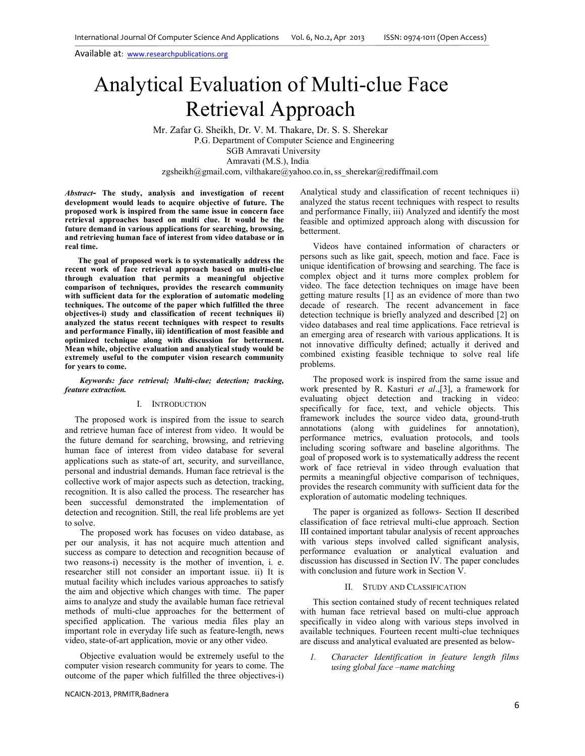**real time.** 

# Analytical Evaluation of Multi-clue Face Retrieval Approach

 Mr. Zafar G. Sheikh, Dr. V. M. Thakare, Dr. S. S. Sherekar P.G. Department of Computer Science and Engineering SGB Amravati University Amravati (M.S.), India zgsheikh@gmail.com, vilthakare@yahoo.co.in, ss\_sherekar@rediffmail.com

*Abstract-* **The study, analysis and investigation of recent development would leads to acquire objective of future. The proposed work is inspired from the same issue in concern face retrieval approaches based on multi clue. It would be the future demand in various applications for searching, browsing, and retrieving human face of interest from video database or in** 

**The goal of proposed work is to systematically address the recent work of face retrieval approach based on multi-clue through evaluation that permits a meaningful objective comparison of techniques, provides the research community with sufficient data for the exploration of automatic modeling techniques. The outcome of the paper which fulfilled the three objectives-i) study and classification of recent techniques ii) analyzed the status recent techniques with respect to results and performance Finally, iii) identification of most feasible and optimized technique along with discussion for betterment. Mean while, objective evaluation and analytical study would be extremely useful to the computer vision research community for years to come.** 

#### *Keywords: face retrieval; Multi-clue; detection; tracking, feature extraction.*

#### I. INTRODUCTION

The proposed work is inspired from the issue to search and retrieve human face of interest from video. It would be the future demand for searching, browsing, and retrieving human face of interest from video database for several applications such as state-of art, security, and surveillance, personal and industrial demands. Human face retrieval is the collective work of major aspects such as detection, tracking, recognition. It is also called the process. The researcher has been successful demonstrated the implementation of detection and recognition. Still, the real life problems are yet to solve.

 The proposed work has focuses on video database, as per our analysis, it has not acquire much attention and success as compare to detection and recognition because of two reasons-i) necessity is the mother of invention, i. e. researcher still not consider an important issue. ii) It is mutual facility which includes various approaches to satisfy the aim and objective which changes with time. The paper aims to analyze and study the available human face retrieval methods of multi-clue approaches for the betterment of specified application. The various media files play an important role in everyday life such as feature-length, news video, state-of-art application, movie or any other video.

 Objective evaluation would be extremely useful to the computer vision research community for years to come. The outcome of the paper which fulfilled the three objectives-i) Analytical study and classification of recent techniques ii) analyzed the status recent techniques with respect to results and performance Finally, iii) Analyzed and identify the most feasible and optimized approach along with discussion for betterment.

Videos have contained information of characters or persons such as like gait, speech, motion and face. Face is unique identification of browsing and searching. The face is complex object and it turns more complex problem for video. The face detection techniques on image have been getting mature results [1] as an evidence of more than two decade of research. The recent advancement in face detection technique is briefly analyzed and described [2] on video databases and real time applications. Face retrieval is an emerging area of research with various applications. It is not innovative difficulty defined; actually it derived and combined existing feasible technique to solve real life problems.

The proposed work is inspired from the same issue and work presented by R. Kasturi *et al*.,[3], a framework for evaluating object detection and tracking in video: specifically for face, text, and vehicle objects. This framework includes the source video data, ground-truth annotations (along with guidelines for annotation), performance metrics, evaluation protocols, and tools including scoring software and baseline algorithms. The goal of proposed work is to systematically address the recent work of face retrieval in video through evaluation that permits a meaningful objective comparison of techniques, provides the research community with sufficient data for the exploration of automatic modeling techniques.

The paper is organized as follows- Section II described classification of face retrieval multi-clue approach. Section III contained important tabular analysis of recent approaches with various steps involved called significant analysis, performance evaluation or analytical evaluation and discussion has discussed in Section IV. The paper concludes with conclusion and future work in Section  $\hat{V}$ .

#### II. STUDY AND CLASSIFICATION

This section contained study of recent techniques related with human face retrieval based on multi-clue approach specifically in video along with various steps involved in available techniques. Fourteen recent multi-clue techniques are discuss and analytical evaluated are presented as below-

*1. Character Identification in feature length films using global face –name matching*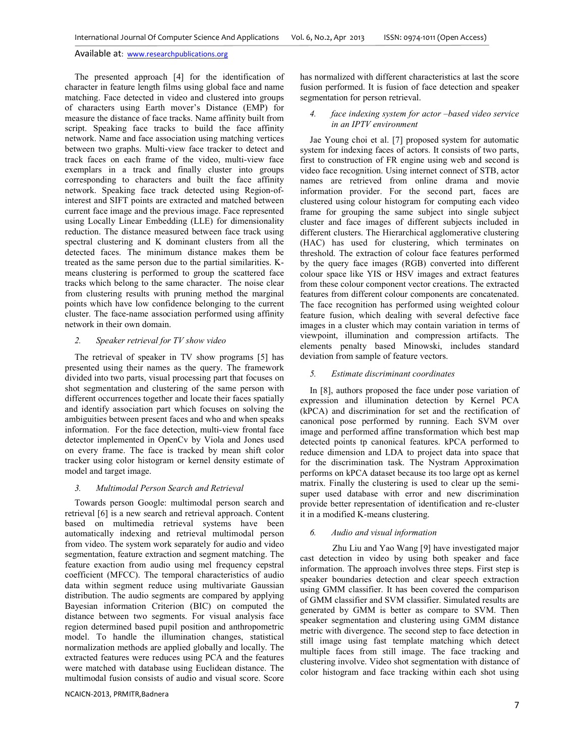The presented approach [4] for the identification of character in feature length films using global face and name matching. Face detected in video and clustered into groups of characters using Earth mover's Distance (EMP) for measure the distance of face tracks. Name affinity built from script. Speaking face tracks to build the face affinity network. Name and face association using matching vertices between two graphs. Multi-view face tracker to detect and track faces on each frame of the video, multi-view face exemplars in a track and finally cluster into groups corresponding to characters and built the face affinity network. Speaking face track detected using Region-ofinterest and SIFT points are extracted and matched between current face image and the previous image. Face represented using Locally Linear Embedding (LLE) for dimensionality reduction. The distance measured between face track using spectral clustering and K dominant clusters from all the detected faces. The minimum distance makes them be treated as the same person due to the partial similarities. Kmeans clustering is performed to group the scattered face tracks which belong to the same character. The noise clear from clustering results with pruning method the marginal points which have low confidence belonging to the current cluster. The face-name association performed using affinity network in their own domain.

# *2. Speaker retrieval for TV show video*

The retrieval of speaker in TV show programs [5] has presented using their names as the query. The framework divided into two parts, visual processing part that focuses on shot segmentation and clustering of the same person with different occurrences together and locate their faces spatially and identify association part which focuses on solving the ambiguities between present faces and who and when speaks information. For the face detection, multi-view frontal face detector implemented in OpenCv by Viola and Jones used on every frame. The face is tracked by mean shift color tracker using color histogram or kernel density estimate of model and target image.

### *3. Multimodal Person Search and Retrieval*

Towards person Google: multimodal person search and retrieval [6] is a new search and retrieval approach. Content based on multimedia retrieval systems have been automatically indexing and retrieval multimodal person from video. The system work separately for audio and video segmentation, feature extraction and segment matching. The feature exaction from audio using mel frequency cepstral coefficient (MFCC). The temporal characteristics of audio data within segment reduce using multivariate Gaussian distribution. The audio segments are compared by applying Bayesian information Criterion (BIC) on computed the distance between two segments. For visual analysis face region determined based pupil position and anthropometric model. To handle the illumination changes, statistical normalization methods are applied globally and locally. The extracted features were reduces using PCA and the features were matched with database using Euclidean distance. The multimodal fusion consists of audio and visual score. Score

has normalized with different characteristics at last the score fusion performed. It is fusion of face detection and speaker segmentation for person retrieval.

### *4. face indexing system for actor –based video service in an IPTV environment*

Jae Young choi et al. [7] proposed system for automatic system for indexing faces of actors. It consists of two parts, first to construction of FR engine using web and second is video face recognition. Using internet connect of STB, actor names are retrieved from online drama and movie information provider. For the second part, faces are clustered using colour histogram for computing each video frame for grouping the same subject into single subject cluster and face images of different subjects included in different clusters. The Hierarchical agglomerative clustering (HAC) has used for clustering, which terminates on threshold. The extraction of colour face features performed by the query face images (RGB) converted into different colour space like YIS or HSV images and extract features from these colour component vector creations. The extracted features from different colour components are concatenated. The face recognition has performed using weighted colour feature fusion, which dealing with several defective face images in a cluster which may contain variation in terms of viewpoint, illumination and compression artifacts. The elements penalty based Minowski, includes standard deviation from sample of feature vectors.

## *5. Estimate discriminant coordinates*

In [8], authors proposed the face under pose variation of expression and illumination detection by Kernel PCA (kPCA) and discrimination for set and the rectification of canonical pose performed by running. Each SVM over image and performed affine transformation which best map detected points tp canonical features. kPCA performed to reduce dimension and LDA to project data into space that for the discrimination task. The Nystram Approximation performs on kPCA dataset because its too large opt as kernel matrix. Finally the clustering is used to clear up the semisuper used database with error and new discrimination provide better representation of identification and re-cluster it in a modified K-means clustering.

#### *6. Audio and visual information*

Zhu Liu and Yao Wang [9] have investigated major cast detection in video by using both speaker and face information. The approach involves three steps. First step is speaker boundaries detection and clear speech extraction using GMM classifier. It has been covered the comparison of GMM classifier and SVM classifier. Simulated results are generated by GMM is better as compare to SVM. Then speaker segmentation and clustering using GMM distance metric with divergence. The second step to face detection in still image using fast template matching which detect multiple faces from still image. The face tracking and clustering involve. Video shot segmentation with distance of color histogram and face tracking within each shot using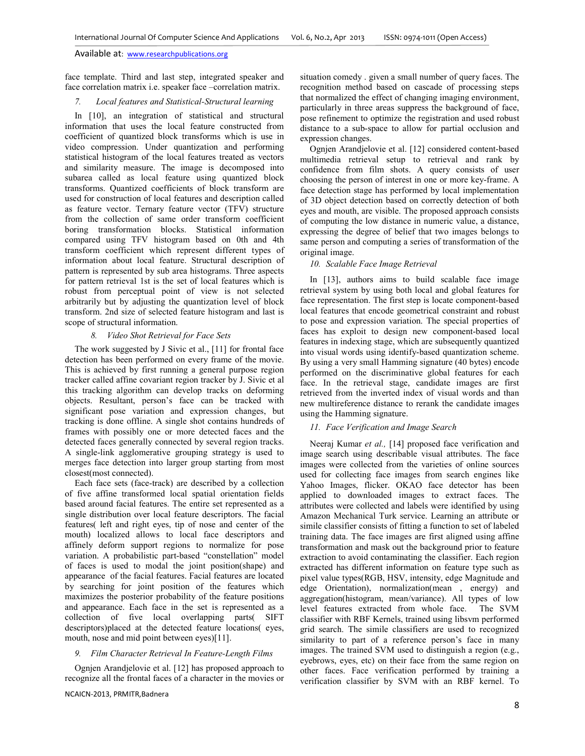face template. Third and last step, integrated speaker and face correlation matrix i.e. speaker face –correlation matrix.

## *7. Local features and Statistical-Structural learning*

In [10], an integration of statistical and structural information that uses the local feature constructed from coefficient of quantized block transforms which is use in video compression. Under quantization and performing statistical histogram of the local features treated as vectors and similarity measure. The image is decomposed into subarea called as local feature using quantized block transforms. Quantized coefficients of block transform are used for construction of local features and description called as feature vector. Ternary feature vector (TFV) structure from the collection of same order transform coefficient boring transformation blocks. Statistical information compared using TFV histogram based on 0th and 4th transform coefficient which represent different types of information about local feature. Structural description of pattern is represented by sub area histograms. Three aspects for pattern retrieval 1st is the set of local features which is robust from perceptual point of view is not selected arbitrarily but by adjusting the quantization level of block transform. 2nd size of selected feature histogram and last is scope of structural information.

## *8. Video Shot Retrieval for Face Sets*

The work suggested by J Sivic et al., [11] for frontal face detection has been performed on every frame of the movie. This is achieved by first running a general purpose region tracker called affine covariant region tracker by J. Sivic et al this tracking algorithm can develop tracks on deforming objects. Resultant, person's face can be tracked with significant pose variation and expression changes, but tracking is done offline. A single shot contains hundreds of frames with possibly one or more detected faces and the detected faces generally connected by several region tracks. A single-link agglomerative grouping strategy is used to merges face detection into larger group starting from most closest(most connected).

Each face sets (face-track) are described by a collection of five affine transformed local spatial orientation fields based around facial features. The entire set represented as a single distribution over local feature descriptors. The facial features( left and right eyes, tip of nose and center of the mouth) localized allows to local face descriptors and affinely deform support regions to normalize for pose variation. A probabilistic part-based "constellation" model of faces is used to modal the joint position(shape) and appearance of the facial features. Facial features are located by searching for joint position of the features which maximizes the posterior probability of the feature positions and appearance. Each face in the set is represented as a collection of five local overlapping parts( SIFT descriptors)placed at the detected feature locations( eyes, mouth, nose and mid point between eyes)[11].

## *9. Film Character Retrieval In Feature-Length Films*

Ognjen Arandjelovie et al. [12] has proposed approach to recognize all the frontal faces of a character in the movies or situation comedy . given a small number of query faces. The recognition method based on cascade of processing steps that normalized the effect of changing imaging environment, particularly in three areas suppress the background of face, pose refinement to optimize the registration and used robust distance to a sub-space to allow for partial occlusion and expression changes.

Ognjen Arandjelovie et al. [12] considered content-based multimedia retrieval setup to retrieval and rank by confidence from film shots. A query consists of user choosing the person of interest in one or more key-frame. A face detection stage has performed by local implementation of 3D object detection based on correctly detection of both eyes and mouth, are visible. The proposed approach consists of computing the low distance in numeric value, a distance, expressing the degree of belief that two images belongs to same person and computing a series of transformation of the original image.

## *10. Scalable Face Image Retrieval*

In [13], authors aims to build scalable face image retrieval system by using both local and global features for face representation. The first step is locate component-based local features that encode geometrical constraint and robust to pose and expression variation. The special properties of faces has exploit to design new component-based local features in indexing stage, which are subsequently quantized into visual words using identify-based quantization scheme. By using a very small Hamming signature (40 bytes) encode performed on the discriminative global features for each face. In the retrieval stage, candidate images are first retrieved from the inverted index of visual words and than new multireference distance to rerank the candidate images using the Hamming signature.

## *11. Face Verification and Image Search*

Neeraj Kumar *et al.,* [14] proposed face verification and image search using describable visual attributes. The face images were collected from the varieties of online sources used for collecting face images from search engines like Yahoo Images, flicker. OKAO face detector has been applied to downloaded images to extract faces. The attributes were collected and labels were identified by using Amazon Mechanical Turk service. Learning an attribute or simile classifier consists of fitting a function to set of labeled training data. The face images are first aligned using affine transformation and mask out the background prior to feature extraction to avoid contaminating the classifier. Each region extracted has different information on feature type such as pixel value types(RGB, HSV, intensity, edge Magnitude and edge Orientation), normalization(mean , energy) and aggregation(histogram, mean/variance). All types of low level features extracted from whole face. The SVM classifier with RBF Kernels, trained using libsvm performed grid search. The simile classifiers are used to recognized similarity to part of a reference person's face in many images. The trained SVM used to distinguish a region (e.g., eyebrows, eyes, etc) on their face from the same region on other faces. Face verification performed by training a verification classifier by SVM with an RBF kernel. To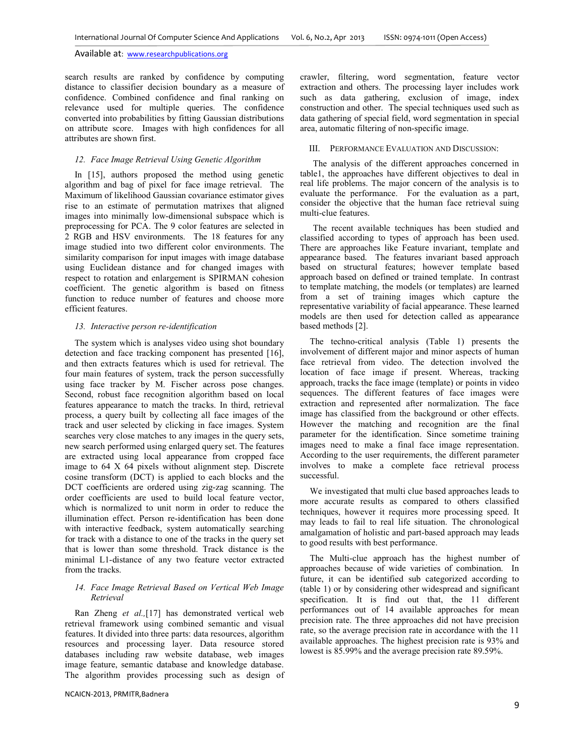search results are ranked by confidence by computing distance to classifier decision boundary as a measure of confidence. Combined confidence and final ranking on relevance used for multiple queries. The confidence converted into probabilities by fitting Gaussian distributions on attribute score. Images with high confidences for all attributes are shown first.

# *12. Face Image Retrieval Using Genetic Algorithm*

In [15], authors proposed the method using genetic algorithm and bag of pixel for face image retrieval. The Maximum of likelihood Gaussian covariance estimator gives rise to an estimate of permutation matrixes that aligned images into minimally low-dimensional subspace which is preprocessing for PCA. The 9 color features are selected in 2 RGB and HSV environments. The 18 features for any image studied into two different color environments. The similarity comparison for input images with image database using Euclidean distance and for changed images with respect to rotation and enlargement is SPIRMAN cohesion coefficient. The genetic algorithm is based on fitness function to reduce number of features and choose more efficient features.

## *13. Interactive person re-identification*

The system which is analyses video using shot boundary detection and face tracking component has presented [16], and then extracts features which is used for retrieval. The four main features of system, track the person successfully using face tracker by M. Fischer across pose changes. Second, robust face recognition algorithm based on local features appearance to match the tracks. In third, retrieval process, a query built by collecting all face images of the track and user selected by clicking in face images. System searches very close matches to any images in the query sets, new search performed using enlarged query set. The features are extracted using local appearance from cropped face image to 64 X 64 pixels without alignment step. Discrete cosine transform (DCT) is applied to each blocks and the DCT coefficients are ordered using zig-zag scanning. The order coefficients are used to build local feature vector, which is normalized to unit norm in order to reduce the illumination effect. Person re-identification has been done with interactive feedback, system automatically searching for track with a distance to one of the tracks in the query set that is lower than some threshold. Track distance is the minimal L1-distance of any two feature vector extracted from the tracks.

## *14. Face Image Retrieval Based on Vertical Web Image Retrieval*

Ran Zheng *et al.,*[17] has demonstrated vertical web retrieval framework using combined semantic and visual features. It divided into three parts: data resources, algorithm resources and processing layer. Data resource stored databases including raw website database, web images image feature, semantic database and knowledge database. The algorithm provides processing such as design of crawler, filtering, word segmentation, feature vector extraction and others. The processing layer includes work such as data gathering, exclusion of image, index construction and other. The special techniques used such as data gathering of special field, word segmentation in special area, automatic filtering of non-specific image.

#### III. PERFORMANCE EVALUATION AND DISCUSSION:

The analysis of the different approaches concerned in table1, the approaches have different objectives to deal in real life problems. The major concern of the analysis is to evaluate the performance. For the evaluation as a part, consider the objective that the human face retrieval suing multi-clue features.

The recent available techniques has been studied and classified according to types of approach has been used. There are approaches like Feature invariant, template and appearance based. The features invariant based approach based on structural features; however template based approach based on defined or trained template. In contrast to template matching, the models (or templates) are learned from a set of training images which capture the representative variability of facial appearance. These learned models are then used for detection called as appearance based methods [2].

The techno-critical analysis (Table 1) presents the involvement of different major and minor aspects of human face retrieval from video. The detection involved the location of face image if present. Whereas, tracking approach, tracks the face image (template) or points in video sequences. The different features of face images were extraction and represented after normalization. The face image has classified from the background or other effects. However the matching and recognition are the final parameter for the identification. Since sometime training images need to make a final face image representation. According to the user requirements, the different parameter involves to make a complete face retrieval process successful.

We investigated that multi clue based approaches leads to more accurate results as compared to others classified techniques, however it requires more processing speed. It may leads to fail to real life situation. The chronological amalgamation of holistic and part-based approach may leads to good results with best performance.

The Multi-clue approach has the highest number of approaches because of wide varieties of combination. In future, it can be identified sub categorized according to (table 1) or by considering other widespread and significant specification. It is find out that, the 11 different performances out of 14 available approaches for mean precision rate. The three approaches did not have precision rate, so the average precision rate in accordance with the 11 available approaches. The highest precision rate is 93% and lowest is 85.99% and the average precision rate 89.59%.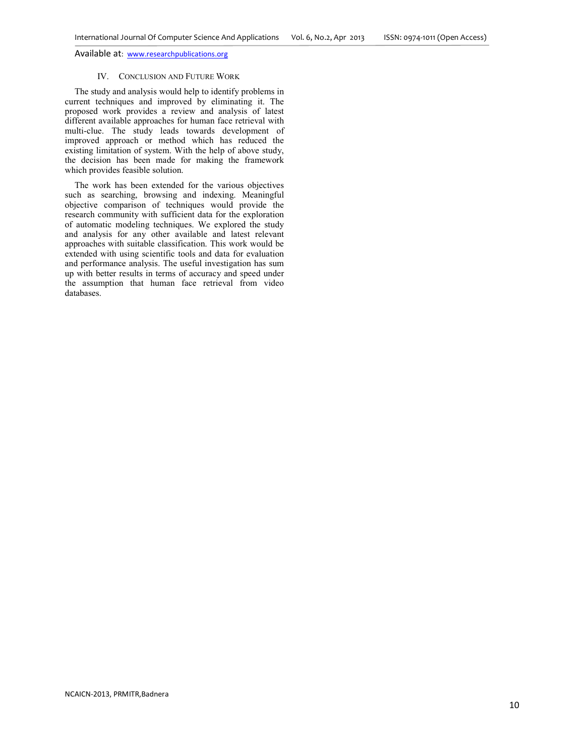#### IV. CONCLUSION AND FUTURE WORK

The study and analysis would help to identify problems in current techniques and improved by eliminating it. The proposed work provides a review and analysis of latest different available approaches for human face retrieval with multi-clue. The study leads towards development of improved approach or method which has reduced the existing limitation of system. With the help of above study, the decision has been made for making the framework which provides feasible solution.

The work has been extended for the various objectives such as searching, browsing and indexing. Meaningful objective comparison of techniques would provide the research community with sufficient data for the exploration of automatic modeling techniques. We explored the study and analysis for any other available and latest relevant approaches with suitable classification. This work would be extended with using scientific tools and data for evaluation and performance analysis. The useful investigation has sum up with better results in terms of accuracy and speed under the assumption that human face retrieval from video databases.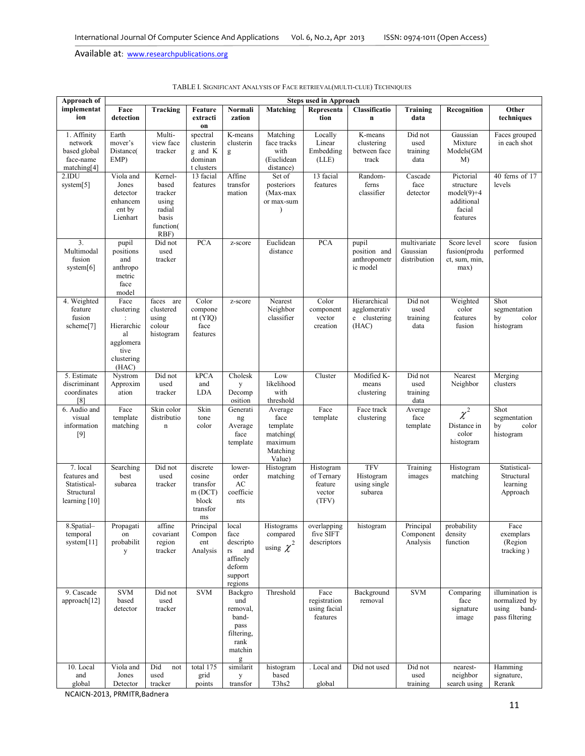| Approach of                                                               | <b>Steps used in Approach</b>                                                      |                                                                              |                                                                     |                                                                                                       |                                                                           |                                                       |                                                       |                                          |                                                                            |                                                                      |
|---------------------------------------------------------------------------|------------------------------------------------------------------------------------|------------------------------------------------------------------------------|---------------------------------------------------------------------|-------------------------------------------------------------------------------------------------------|---------------------------------------------------------------------------|-------------------------------------------------------|-------------------------------------------------------|------------------------------------------|----------------------------------------------------------------------------|----------------------------------------------------------------------|
| implementat<br>ion                                                        | Face<br>detection                                                                  | Tracking                                                                     | Feature<br>extracti<br>on                                           | Normali<br>zation                                                                                     | Matching                                                                  | Representa<br>tion                                    | Classificatio<br>$\mathbf{n}$                         | Training<br>data                         | Recognition                                                                | Other<br>techniques                                                  |
| 1. Affinity<br>network<br>based global<br>face-name<br>matching[4]        | Earth<br>mover's<br>Distance(<br>EMP)                                              | Multi-<br>view face<br>tracker                                               | spectral<br>clusterin<br>g and K<br>dominan<br>t clusters           | K-means<br>clusterin<br>g                                                                             | Matching<br>face tracks<br>with<br>(Euclidean<br>distance)                | Locally<br>Linear<br>Embedding<br>(LLE)               | K-means<br>clustering<br>between face<br>track        | Did not<br>used<br>training<br>data      | Gaussian<br>Mixture<br>Models(GM<br>M)                                     | Faces grouped<br>in each shot                                        |
| 2.IDU<br>system[5]                                                        | Viola and<br>Jones<br>detector<br>enhancem<br>ent by<br>Lienhart                   | Kernel-<br>based<br>tracker<br>using<br>radial<br>basis<br>function(<br>RBF) | 13 facial<br>features                                               | Affine<br>transfor<br>mation                                                                          | Set of<br>posteriors<br>(Max-max<br>or max-sum<br>$\lambda$               | 13 facial<br>features                                 | Random-<br>ferns<br>classifier                        | Cascade<br>face<br>detector              | Pictorial<br>structure<br>$model(9)+4$<br>additional<br>facial<br>features | 40 ferns of 17<br>levels                                             |
| 3.<br>Multimodal<br>fusion<br>system $[6]$                                | pupil<br>positions<br>and<br>anthropo<br>metric<br>face<br>model                   | Did not<br>used<br>tracker                                                   | <b>PCA</b>                                                          | z-score                                                                                               | Euclidean<br>distance                                                     | PCA                                                   | pupil<br>position and<br>anthropometr<br>ic model     | multivariate<br>Gaussian<br>distribution | Score level<br>fusion(produ<br>ct, sum, min,<br>max)                       | fusion<br>score<br>performed                                         |
| 4. Weighted<br>feature<br>fusion<br>scheme[7]                             | Face<br>clustering<br>Hierarchic<br>al<br>agglomera<br>tive<br>clustering<br>(HAC) | faces<br>are<br>clustered<br>using<br>colour<br>histogram                    | Color<br>compone<br>$nt$ (YIO)<br>face<br>features                  | z-score                                                                                               | Nearest<br>Neighbor<br>classifier                                         | Color<br>component<br>vector<br>creation              | Hierarchical<br>agglomerativ<br>e clustering<br>(HAC) | Did not<br>used<br>training<br>data      | Weighted<br>color<br>features<br>fusion                                    | Shot<br>segmentation<br>color<br>by<br>histogram                     |
| 5. Estimate<br>discriminant<br>coordinates<br>[8]                         | Nystrom<br>Approxim<br>ation                                                       | Did not<br>used<br>tracker                                                   | kPCA<br>and<br><b>LDA</b>                                           | Cholesk<br>y<br>Decomp<br>osition                                                                     | Low<br>likelihood<br>with<br>threshold                                    | Cluster                                               | Modified K-<br>means<br>clustering                    | Did not<br>used<br>training<br>data      | Nearest<br>Neighbor                                                        | Merging<br>clusters                                                  |
| 6. Audio and<br>visual<br>information<br>$[9]$                            | Face<br>template<br>matching                                                       | Skin color<br>distributio<br>$\mathbf n$                                     | Skin<br>tone<br>color                                               | Generati<br>ng<br>Average<br>face<br>template                                                         | Average<br>face<br>template<br>matching(<br>maximum<br>Matching<br>Value) | Face<br>template                                      | Face track<br>clustering                              | Average<br>face<br>template              | $\chi^2$<br>Distance in<br>color<br>histogram                              | Shot<br>segmentation<br>by<br>color<br>histogram                     |
| 7. local<br>features and<br>Statistical-<br>Structural<br>learning $[10]$ | Searching<br>best<br>subarea                                                       | Did not<br>used<br>tracker                                                   | discrete<br>cosine<br>transfor<br>m(DCT)<br>block<br>transfor<br>ms | lower-<br>order<br>AC<br>coefficie<br>nts                                                             | Histogram<br>matching                                                     | Histogram<br>of Ternary<br>feature<br>vector<br>(TFV) | <b>TFV</b><br>Histogram<br>using single<br>subarea    | Training<br>images                       | Histogram<br>matching                                                      | Statistical-<br>Structural<br>learning<br>Approach                   |
| 8. Spatial-<br>temporal<br>system $[11]$                                  | Propagati<br>on<br>probabilit<br>y                                                 | attine<br>covariant<br>region<br>tracker                                     | Principal<br>Compon<br>ent<br>Analysis                              | local<br>face<br>descripto<br>and<br>$\mathop{\text{rs}}$<br>affinely<br>deform<br>support<br>regions | <b>Histograms</b><br>compared<br>using $\chi^2$                           | overlapping<br>five SIFT<br>descriptors               | histogram                                             | Principal<br>Component<br>Analysis       | probability<br>density<br>function                                         | Face<br>exemplars<br>(Region<br>tracking)                            |
| 9. Cascade<br>approach[12]                                                | <b>SVM</b><br>based<br>detector                                                    | Did not<br>used<br>tracker                                                   | <b>SVM</b>                                                          | Backgro<br>und<br>removal,<br>band-<br>pass<br>filtering,<br>rank<br>matchin<br>g                     | Threshold                                                                 | Face<br>registration<br>using facial<br>features      | Background<br>removal                                 | $\ensuremath{\mathrm{SVM}}\xspace$       | Comparing<br>face<br>signature<br>image                                    | illumination is<br>normalized by<br>using<br>band-<br>pass filtering |
| 10. Local<br>and<br>global                                                | Viola and<br>Jones<br>Detector                                                     | Did<br>not<br>used<br>tracker                                                | total 175<br>grid<br>points                                         | similarit<br>y<br>transfor                                                                            | histogram<br>based<br>T3hs2                                               | . Local and<br>global                                 | Did not used                                          | Did not<br>used<br>training              | nearest-<br>neighbor<br>search using                                       | Hamming<br>signature,<br>Rerank                                      |

|  |  | TABLE I. SIGNIFICANT ANALYSIS OF FACE RETRIEVAL(MULTI-CLUE) TECHNIQUES |  |
|--|--|------------------------------------------------------------------------|--|
|--|--|------------------------------------------------------------------------|--|

NCAICN-2013, PRMITR,Badnera